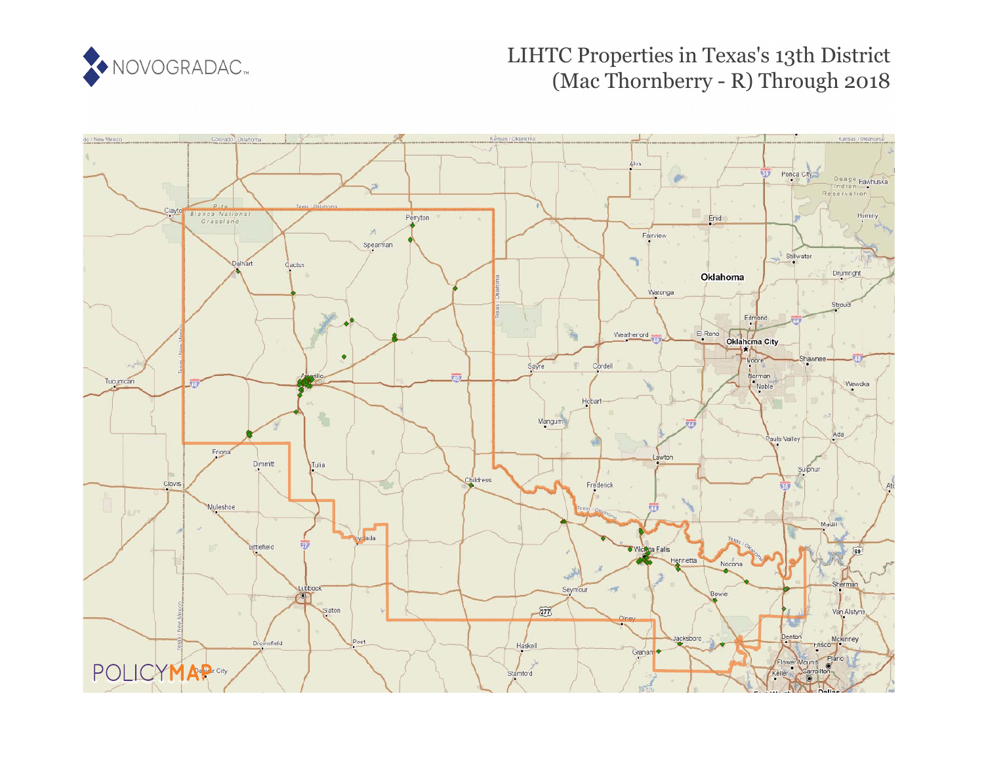

# LIHTC Properties in Texas's 13th District (Mac Thornberry - R) Through 2018

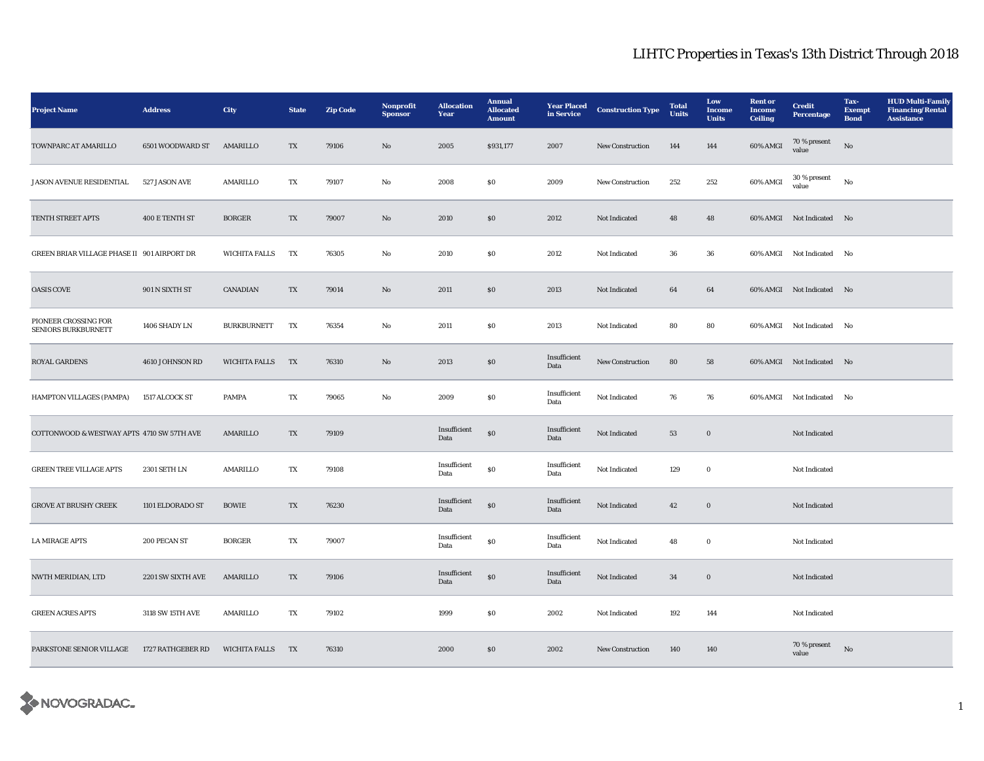| <b>Project Name</b>                         | <b>Address</b>    | <b>City</b>          | <b>State</b> | <b>Zip Code</b> | Nonprofit<br><b>Sponsor</b> | <b>Allocation</b><br>Year | <b>Annual</b><br><b>Allocated</b><br><b>Amount</b> | <b>Year Placed</b><br>in Service | <b>Construction Type</b> | <b>Total</b><br><b>Units</b> | Low<br>Income<br><b>Units</b> | <b>Rent</b> or<br><b>Income</b><br><b>Ceiling</b> | <b>Credit</b><br>Percentage | Tax-<br><b>Exempt</b><br><b>Bond</b> | <b>HUD Multi-Family</b><br><b>Financing/Rental</b><br><b>Assistance</b> |
|---------------------------------------------|-------------------|----------------------|--------------|-----------------|-----------------------------|---------------------------|----------------------------------------------------|----------------------------------|--------------------------|------------------------------|-------------------------------|---------------------------------------------------|-----------------------------|--------------------------------------|-------------------------------------------------------------------------|
| TOWNPARC AT AMARILLO                        | 6501 WOODWARD ST  | AMARILLO             | TX           | 79106           | No                          | 2005                      | \$931,177                                          | 2007                             | <b>New Construction</b>  | 144                          | 144                           | 60% AMGI                                          | 70 % present<br>value       | No                                   |                                                                         |
| JASON AVENUE RESIDENTIAL                    | 527 JASON AVE     | AMARILLO             | TX           | 79107           | No                          | 2008                      | $\boldsymbol{\mathsf{S}}\boldsymbol{\mathsf{0}}$   | 2009                             | <b>New Construction</b>  | 252                          | 252                           | 60% AMGI                                          | 30 % present<br>value       | No                                   |                                                                         |
| TENTH STREET APTS                           | 400 E TENTH ST    | <b>BORGER</b>        | TX           | 79007           | $\mathbf{N}\mathbf{o}$      | 2010                      | $\$0$                                              | 2012                             | Not Indicated            | 48                           | 48                            |                                                   | 60% AMGI Not Indicated No   |                                      |                                                                         |
| GREEN BRIAR VILLAGE PHASE II 901 AIRPORT DR |                   | <b>WICHITA FALLS</b> | TX           | 76305           | $_{\rm No}$                 | 2010                      | S <sub>0</sub>                                     | 2012                             | Not Indicated            | 36                           | 36                            |                                                   | 60% AMGI Not Indicated No   |                                      |                                                                         |
| <b>OASIS COVE</b>                           | 901 N SIXTH ST    | CANADIAN             | TX           | 79014           | No                          | 2011                      | \$0\$                                              | 2013                             | Not Indicated            | 64                           | 64                            |                                                   | 60% AMGI Not Indicated No   |                                      |                                                                         |
| PIONEER CROSSING FOR<br>SENIORS BURKBURNETT | 1406 SHADY LN     | <b>BURKBURNETT</b>   | TX           | 76354           | $_{\rm No}$                 | 2011                      | $\boldsymbol{\mathsf{S}}\boldsymbol{\mathsf{0}}$   | 2013                             | Not Indicated            | 80                           | 80                            |                                                   | 60% AMGI Not Indicated No   |                                      |                                                                         |
| <b>ROYAL GARDENS</b>                        | 4610 JOHNSON RD   | <b>WICHITA FALLS</b> | TX           | 76310           | No                          | 2013                      | \$0\$                                              | Insufficient<br>Data             | New Construction         | 80                           | 58                            |                                                   | 60% AMGI Not Indicated No   |                                      |                                                                         |
| HAMPTON VILLAGES (PAMPA)                    | 1517 ALCOCK ST    | PAMPA                | TX           | 79065           | No                          | 2009                      | $\boldsymbol{\mathsf{S}}\boldsymbol{\mathsf{0}}$   | Insufficient<br>Data             | Not Indicated            | 76                           | 76                            |                                                   | 60% AMGI Not Indicated No   |                                      |                                                                         |
| COTTONWOOD & WESTWAY APTS 4710 SW 57TH AVE  |                   | AMARILLO             | TX           | 79109           |                             | Insufficient<br>Data      | $\$0$                                              | Insufficient<br>Data             | Not Indicated            | 53                           | $\boldsymbol{0}$              |                                                   | Not Indicated               |                                      |                                                                         |
| <b>GREEN TREE VILLAGE APTS</b>              | 2301 SETH LN      | AMARILLO             | TX           | 79108           |                             | Insufficient<br>Data      | S <sub>0</sub>                                     | Insufficient<br>Data             | Not Indicated            | 129                          | $\bf{0}$                      |                                                   | Not Indicated               |                                      |                                                                         |
| <b>GROVE AT BRUSHY CREEK</b>                | 1101 ELDORADO ST  | <b>BOWIE</b>         | TX           | 76230           |                             | Insufficient<br>Data      | ${\bf S0}$                                         | Insufficient<br>Data             | Not Indicated            | 42                           | $\boldsymbol{0}$              |                                                   | Not Indicated               |                                      |                                                                         |
| <b>LA MIRAGE APTS</b>                       | 200 PECAN ST      | <b>BORGER</b>        | TX           | 79007           |                             | Insufficient<br>Data      | ${\bf S0}$                                         | Insufficient<br>Data             | Not Indicated            | 48                           | $\bf{0}$                      |                                                   | Not Indicated               |                                      |                                                                         |
| NWTH MERIDIAN, LTD                          | 2201 SW SIXTH AVE | AMARILLO             | TX           | 79106           |                             | Insufficient<br>Data      | $\$0$                                              | Insufficient<br>Data             | Not Indicated            | $\bf{34}$                    | $\mathbf 0$                   |                                                   | Not Indicated               |                                      |                                                                         |
| <b>GREEN ACRES APTS</b>                     | 3118 SW 15TH AVE  | AMARILLO             | TX           | 79102           |                             | 1999                      | $\$0$                                              | 2002                             | Not Indicated            | 192                          | 144                           |                                                   | Not Indicated               |                                      |                                                                         |
| PARKSTONE SENIOR VILLAGE                    | 1727 RATHGEBER RD | <b>WICHITA FALLS</b> | TX           | 76310           |                             | 2000                      | \$0\$                                              | 2002                             | <b>New Construction</b>  | 140                          | 140                           |                                                   | 70 % present<br>value       | No                                   |                                                                         |

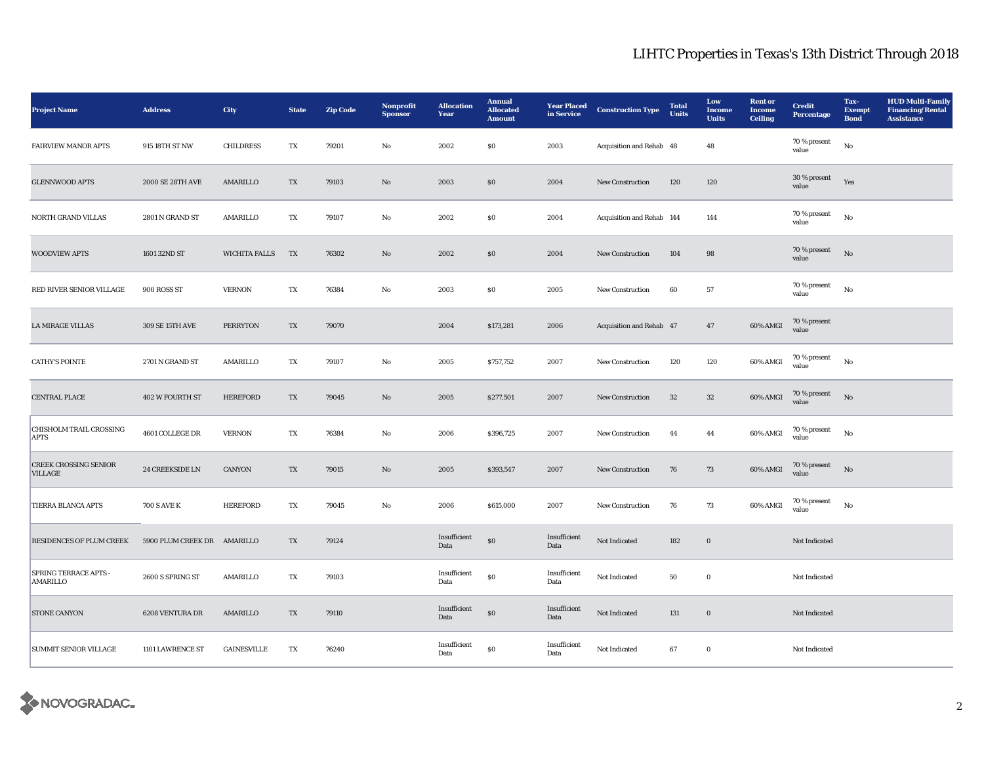| <b>Project Name</b>                             | <b>Address</b>              | City                 | <b>State</b>           | <b>Zip Code</b> | Nonprofit<br><b>Sponsor</b> | <b>Allocation</b><br>Year | <b>Annual</b><br><b>Allocated</b><br><b>Amount</b> | <b>Year Placed</b><br>in Service | <b>Construction Type</b>  | <b>Total</b><br><b>Units</b> | Low<br>Income<br><b>Units</b> | <b>Rent</b> or<br><b>Income</b><br><b>Ceiling</b> | <b>Credit</b><br><b>Percentage</b> | Tax-<br><b>Exempt</b><br><b>Bond</b> | <b>HUD Multi-Family</b><br><b>Financing/Rental</b><br><b>Assistance</b> |
|-------------------------------------------------|-----------------------------|----------------------|------------------------|-----------------|-----------------------------|---------------------------|----------------------------------------------------|----------------------------------|---------------------------|------------------------------|-------------------------------|---------------------------------------------------|------------------------------------|--------------------------------------|-------------------------------------------------------------------------|
| <b>FAIRVIEW MANOR APTS</b>                      | 915 18TH ST NW              | <b>CHILDRESS</b>     | TX                     | 79201           | No                          | 2002                      | \$0\$                                              | 2003                             | Acquisition and Rehab 48  |                              | 48                            |                                                   | 70 % present<br>value              | No                                   |                                                                         |
| <b>GLENNWOOD APTS</b>                           | 2000 SE 28TH AVE            | AMARILLO             | TX                     | 79103           | No                          | 2003                      | \$0\$                                              | 2004                             | <b>New Construction</b>   | 120                          | 120                           |                                                   | 30 % present<br>value              | Yes                                  |                                                                         |
| <b>NORTH GRAND VILLAS</b>                       | 2801 N GRAND ST             | AMARILLO             | TX                     | 79107           | No                          | 2002                      | \$0                                                | 2004                             | Acquisition and Rehab 144 |                              | 144                           |                                                   | 70 % present<br>value              | $_{\rm No}$                          |                                                                         |
| <b>WOODVIEW APTS</b>                            | 1601 32ND ST                | <b>WICHITA FALLS</b> | TX                     | 76302           | $\mathbf{No}$               | 2002                      | \$0\$                                              | 2004                             | New Construction          | 104                          | 98                            |                                                   | 70 % present<br>value              | $_{\rm No}$                          |                                                                         |
| RED RIVER SENIOR VILLAGE                        | 900 ROSS ST                 | <b>VERNON</b>        | TX                     | 76384           | No                          | 2003                      | $\$0$                                              | 2005                             | <b>New Construction</b>   | 60                           | 57                            |                                                   | 70 % present<br>value              | $_{\rm No}$                          |                                                                         |
| <b>LA MIRAGE VILLAS</b>                         | 309 SE 15TH AVE             | <b>PERRYTON</b>      | TX                     | 79070           |                             | 2004                      | \$173,281                                          | 2006                             | Acquisition and Rehab 47  |                              | 47                            | 60% AMGI                                          | 70 % present<br>value              |                                      |                                                                         |
| <b>CATHY'S POINTE</b>                           | 2701 N GRAND ST             | AMARILLO             | TX                     | 79107           | No                          | 2005                      | \$757,752                                          | 2007                             | New Construction          | 120                          | 120                           | 60% AMGI                                          | 70 % present<br>value              | No                                   |                                                                         |
| CENTRAL PLACE                                   | 402 W FOURTH ST             | <b>HEREFORD</b>      | TX                     | 79045           | No                          | 2005                      | \$277,501                                          | 2007                             | New Construction          | 32                           | $32\,$                        | 60% AMGI                                          | 70 % present<br>value              | No                                   |                                                                         |
| CHISHOLM TRAIL CROSSING<br><b>APTS</b>          | 4601 COLLEGE DR             | <b>VERNON</b>        | TX                     | 76384           | $\rm No$                    | 2006                      | \$396,725                                          | 2007                             | New Construction          | 44                           | 44                            | 60% AMGI                                          | 70 % present<br>value              | $_{\rm No}$                          |                                                                         |
| <b>CREEK CROSSING SENIOR</b><br><b>VILLAGE</b>  | 24 CREEKSIDE LN             | CANYON               | TX                     | 79015           | $\mathbf{N}\mathbf{o}$      | 2005                      | \$393,547                                          | 2007                             | New Construction          | 76                           | 73                            | 60% AMGI                                          | 70 % present<br>value              | No                                   |                                                                         |
| TIERRA BLANCA APTS                              | <b>700 S AVE K</b>          | <b>HEREFORD</b>      | TX                     | 79045           | No                          | 2006                      | \$615,000                                          | 2007                             | New Construction          | 76                           | 73                            | 60% AMGI                                          | 70 % present<br>value              | $_{\rm No}$                          |                                                                         |
| <b>RESIDENCES OF PLUM CREEK</b>                 | 5900 PLUM CREEK DR AMARILLO |                      | TX                     | 79124           |                             | Insufficient<br>Data      | $\boldsymbol{\mathsf{S}}\boldsymbol{\mathsf{O}}$   | Insufficient<br>Data             | Not Indicated             | 182                          | $\boldsymbol{0}$              |                                                   | Not Indicated                      |                                      |                                                                         |
| <b>SPRING TERRACE APTS -</b><br><b>AMARILLO</b> | 2600 S SPRING ST            | AMARILLO             | TX                     | 79103           |                             | Insufficient<br>Data      | $\$0$                                              | Insufficient<br>Data             | Not Indicated             | 50                           | $\bf{0}$                      |                                                   | Not Indicated                      |                                      |                                                                         |
| <b>STONE CANYON</b>                             | 6208 VENTURA DR             | AMARILLO             | TX                     | 79110           |                             | Insufficient<br>Data      | $\$0$                                              | Insufficient<br>Data             | Not Indicated             | 131                          | $\boldsymbol{0}$              |                                                   | Not Indicated                      |                                      |                                                                         |
| <b>SUMMIT SENIOR VILLAGE</b>                    | 1101 LAWRENCE ST            | <b>GAINESVILLE</b>   | $\mathbf{T}\mathbf{X}$ | 76240           |                             | Insufficient<br>Data      | $\$0$                                              | Insufficient<br>Data             | Not Indicated             | 67                           | $\bf{0}$                      |                                                   | Not Indicated                      |                                      |                                                                         |

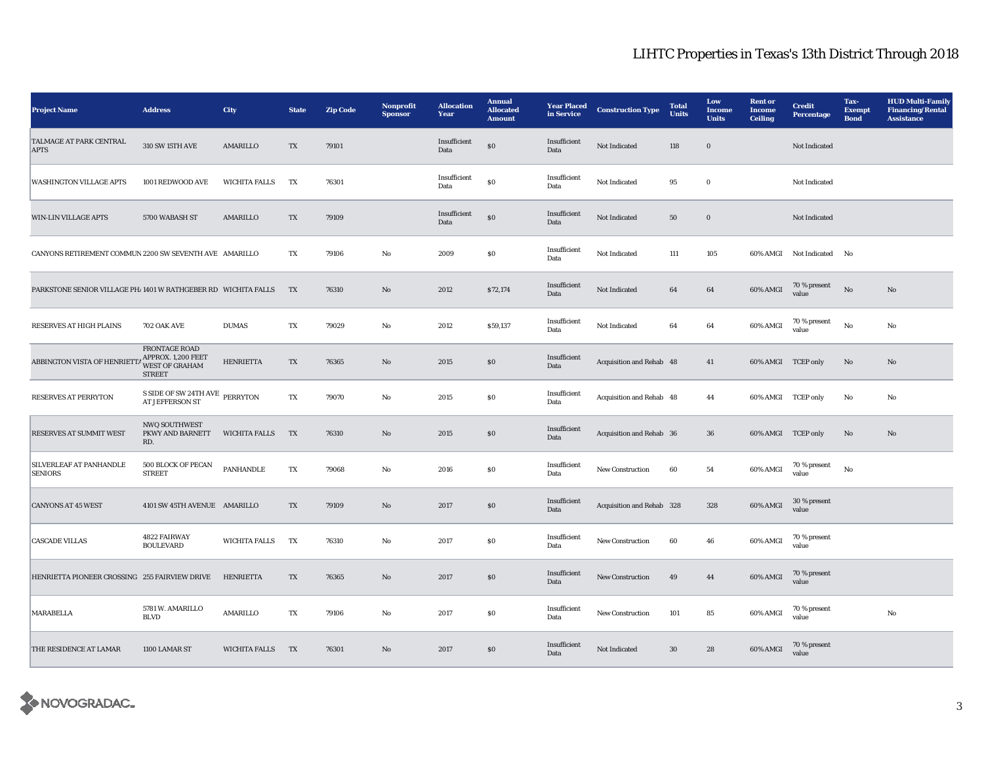| <b>Project Name</b>                                           | <b>Address</b>                                                                | <b>City</b>          | <b>State</b> | <b>Zip Code</b> | Nonprofit<br><b>Sponsor</b> | <b>Allocation</b><br>Year | <b>Annual</b><br><b>Allocated</b><br><b>Amount</b> | <b>Year Placed</b><br>in Service | <b>Construction Type</b>  | <b>Total</b><br><b>Units</b> | Low<br><b>Income</b><br><b>Units</b> | <b>Rent</b> or<br><b>Income</b><br><b>Ceiling</b> | <b>Credit</b><br><b>Percentage</b> | Tax-<br><b>Exempt</b><br><b>Bond</b> | <b>HUD Multi-Family</b><br><b>Financing/Rental</b><br><b>Assistance</b> |
|---------------------------------------------------------------|-------------------------------------------------------------------------------|----------------------|--------------|-----------------|-----------------------------|---------------------------|----------------------------------------------------|----------------------------------|---------------------------|------------------------------|--------------------------------------|---------------------------------------------------|------------------------------------|--------------------------------------|-------------------------------------------------------------------------|
| TALMAGE AT PARK CENTRAL<br><b>APTS</b>                        | 310 SW 15TH AVE                                                               | AMARILLO             | TX           | 79101           |                             | Insufficient<br>Data      | ${\bf S0}$                                         | Insufficient<br>Data             | Not Indicated             | 118                          | $\mathbf 0$                          |                                                   | Not Indicated                      |                                      |                                                                         |
| <b>WASHINGTON VILLAGE APTS</b>                                | 1001 REDWOOD AVE                                                              | <b>WICHITA FALLS</b> | TX           | 76301           |                             | Insufficient<br>Data      | $\$0$                                              | Insufficient<br>Data             | Not Indicated             | 95                           | $\bf{0}$                             |                                                   | Not Indicated                      |                                      |                                                                         |
| <b>WIN-LIN VILLAGE APTS</b>                                   | 5700 WABASH ST                                                                | AMARILLO             | TX           | 79109           |                             | Insufficient<br>Data      | \$0                                                | Insufficient<br>Data             | Not Indicated             | 50                           | $\bf{0}$                             |                                                   | Not Indicated                      |                                      |                                                                         |
| CANYONS RETIREMENT COMMUN 2200 SW SEVENTH AVE AMARILLO        |                                                                               |                      | TX           | 79106           | $\mathbf{No}$               | 2009                      | S <sub>0</sub>                                     | Insufficient<br>Data             | Not Indicated             | 111                          | 105                                  |                                                   | 60% AMGI Not Indicated             | No                                   |                                                                         |
| PARKSTONE SENIOR VILLAGE PH/1401 W RATHGEBER RD WICHITA FALLS |                                                                               |                      | TX           | 76310           | $\mathbf{N}\mathbf{o}$      | 2012                      | \$72,174                                           | Insufficient<br>Data             | Not Indicated             | 64                           | 64                                   | 60% AMGI                                          | $70\,\%$ present<br>value          | $\rm No$                             | $\mathbf{N}\mathbf{o}$                                                  |
| <b>RESERVES AT HIGH PLAINS</b>                                | 702 OAK AVE                                                                   | <b>DUMAS</b>         | TX           | 79029           | No                          | 2012                      | \$59,137                                           | Insufficient<br>Data             | Not Indicated             | 64                           | 64                                   | 60% AMGI                                          | 70 % present<br>value              | No                                   | No                                                                      |
| ABBINGTON VISTA OF HENRIETTA                                  | FRONTAGE ROAD<br>APPROX. 1,200 FEET<br><b>WEST OF GRAHAM</b><br><b>STREET</b> | <b>HENRIETTA</b>     | TX           | 76365           | No                          | 2015                      | \$0\$                                              | Insufficient<br>Data             | Acquisition and Rehab 48  |                              | 41                                   | 60% AMGI TCEP only                                |                                    | No                                   | No                                                                      |
| <b>RESERVES AT PERRYTON</b>                                   | S SIDE OF SW 24TH AVE PERRYTON<br>AT JEFFERSON ST                             |                      | TX           | 79070           | No                          | 2015                      | <b>SO</b>                                          | Insufficient<br>Data             | Acquisition and Rehab 48  |                              | 44                                   |                                                   | 60% AMGI TCEP only                 | No                                   | No                                                                      |
| RESERVES AT SUMMIT WEST                                       | NWQ SOUTHWEST<br>PKWY AND BARNETT<br>RD.                                      | <b>WICHITA FALLS</b> | TX           | 76310           | No                          | 2015                      | S <sub>0</sub>                                     | Insufficient<br>Data             | Acquisition and Rehab 36  |                              | 36                                   | 60% AMGI TCEP only                                |                                    | No                                   | No                                                                      |
| SILVERLEAF AT PANHANDLE<br><b>SENIORS</b>                     | 500 BLOCK OF PECAN<br><b>STREET</b>                                           | PANHANDLE            | TX           | 79068           | No                          | 2016                      | $\$0$                                              | Insufficient<br>Data             | New Construction          | 60                           | 54                                   | 60% AMGI                                          | $70\,\%$ present<br>value          | No                                   |                                                                         |
| <b>CANYONS AT 45 WEST</b>                                     | 4101 SW 45TH AVENUE AMARILLO                                                  |                      | TX           | 79109           | No                          | 2017                      | $\boldsymbol{\mathsf{S}}\boldsymbol{\mathsf{0}}$   | Insufficient<br>Data             | Acquisition and Rehab 328 |                              | 328                                  | 60% AMGI                                          | 30 % present<br>value              |                                      |                                                                         |
| <b>CASCADE VILLAS</b>                                         | 4822 FAIRWAY<br><b>BOULEVARD</b>                                              | <b>WICHITA FALLS</b> | TX           | 76310           | No                          | 2017                      | \$0                                                | Insufficient<br>Data             | <b>New Construction</b>   | 60                           | 46                                   | 60% AMGI                                          | 70 % present<br>value              |                                      |                                                                         |
| HENRIETTA PIONEER CROSSING 255 FAIRVIEW DRIVE                 |                                                                               | <b>HENRIETTA</b>     | TX           | 76365           | No                          | 2017                      | \$0                                                | Insufficient<br>Data             | <b>New Construction</b>   | 49                           | 44                                   | 60% AMGI                                          | 70 % present<br>value              |                                      |                                                                         |
| MARABELLA                                                     | 5781 W. AMARILLO<br><b>BLVD</b>                                               | AMARILLO             | TX           | 79106           | $_{\rm No}$                 | 2017                      | S <sub>0</sub>                                     | Insufficient<br>Data             | New Construction          | 101                          | 85                                   | 60% AMGI                                          | 70 % present<br>value              |                                      | $\rm No$                                                                |
| THE RESIDENCE AT LAMAR                                        | 1100 LAMAR ST                                                                 | WICHITA FALLS        | TX           | 76301           | $\rm No$                    | 2017                      | $\$0$                                              | Insufficient<br>Data             | Not Indicated             | $30\,$                       | ${\bf 28}$                           | 60% AMGI                                          | 70 % present<br>value              |                                      |                                                                         |

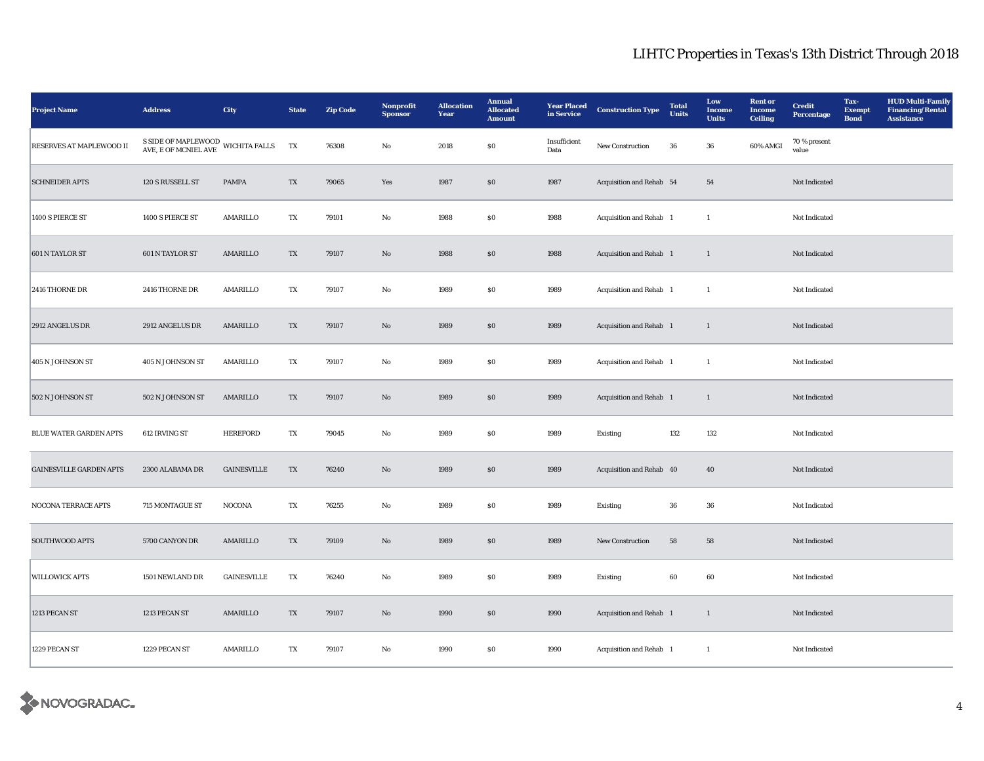| <b>Project Name</b>            | <b>Address</b>                                                                                                                                                                                                                                                                                                                                                                                       | <b>City</b>        | <b>State</b>             | <b>Zip Code</b> | <b>Nonprofit</b><br><b>Sponsor</b> | <b>Allocation</b><br>Year | <b>Annual</b><br><b>Allocated</b><br><b>Amount</b> | <b>Year Placed</b><br>in Service | <b>Construction Type</b>       | <b>Total</b><br><b>Units</b> | Low<br><b>Income</b><br><b>Units</b> | <b>Rent</b> or<br><b>Income</b><br><b>Ceiling</b> | <b>Credit</b><br><b>Percentage</b> | Tax-<br><b>Exempt</b><br><b>Bond</b> | <b>HUD Multi-Family</b><br><b>Financing/Rental</b><br><b>Assistance</b> |
|--------------------------------|------------------------------------------------------------------------------------------------------------------------------------------------------------------------------------------------------------------------------------------------------------------------------------------------------------------------------------------------------------------------------------------------------|--------------------|--------------------------|-----------------|------------------------------------|---------------------------|----------------------------------------------------|----------------------------------|--------------------------------|------------------------------|--------------------------------------|---------------------------------------------------|------------------------------------|--------------------------------------|-------------------------------------------------------------------------|
| RESERVES AT MAPLEWOOD II       | ${\bf S \hspace{1mm} S\hspace{1mm} S\hspace{1mm} S\hspace{1mm} S\hspace{1mm} S\hspace{1mm} S\hspace{1mm} S\hspace{1mm} S\hspace{1mm} S\hspace{1mm} S\hspace{1mm} S\hspace{1mm} S\hspace{1mm} S\hspace{1mm} S\hspace{1mm} S\hspace{1mm} S\hspace{1mm} S\hspace{1mm} S\hspace{1mm} S\hspace{1mm} S\hspace{1mm} S\hspace{1mm} S\hspace{1mm} S\hspace{1mm} S\hspace{1mm} S\hspace{1mm} S\hspace{1mm} S\$ |                    |                          | 76308           | No                                 | 2018                      | \$0\$                                              | Insufficient<br>Data             | New Construction               | 36                           | 36                                   | 60% AMGI                                          | 70 % present<br>value              |                                      |                                                                         |
| <b>SCHNEIDER APTS</b>          | 120 S RUSSELL ST                                                                                                                                                                                                                                                                                                                                                                                     | PAMPA              | $\mathcal{T}\mathcal{X}$ | 79065           | Yes                                | 1987                      | $\$0$                                              | 1987                             | Acquisition and Rehab 54       |                              | 54                                   |                                                   | Not Indicated                      |                                      |                                                                         |
| 1400 S PIERCE ST               | 1400 S PIERCE ST                                                                                                                                                                                                                                                                                                                                                                                     | AMARILLO           | TX                       | 79101           | No                                 | 1988                      | $\$0$                                              | 1988                             | Acquisition and Rehab 1        |                              | $\mathbf{1}$                         |                                                   | Not Indicated                      |                                      |                                                                         |
| 601 N TAYLOR ST                | 601 N TAYLOR ST                                                                                                                                                                                                                                                                                                                                                                                      | AMARILLO           | TX                       | 79107           | $\rm No$                           | 1988                      | $\bf{S0}$                                          | 1988                             | Acquisition and Rehab 1        |                              | $\mathbf{1}$                         |                                                   | Not Indicated                      |                                      |                                                                         |
| 2416 THORNE DR                 | 2416 THORNE DR                                                                                                                                                                                                                                                                                                                                                                                       | AMARILLO           | TX                       | 79107           | No                                 | 1989                      | $\$0$                                              | 1989                             | Acquisition and Rehab 1        |                              | $\mathbf{1}$                         |                                                   | Not Indicated                      |                                      |                                                                         |
| 2912 ANGELUS DR                | 2912 ANGELUS DR                                                                                                                                                                                                                                                                                                                                                                                      | AMARILLO           | TX                       | 79107           | $\mathbf{No}$                      | 1989                      | $\boldsymbol{\mathsf{S}}\boldsymbol{\mathsf{0}}$   | 1989                             | <b>Acquisition and Rehab</b> 1 |                              | $\mathbf{1}$                         |                                                   | Not Indicated                      |                                      |                                                                         |
| 405 N JOHNSON ST               | 405 N JOHNSON ST                                                                                                                                                                                                                                                                                                                                                                                     | AMARILLO           | TX                       | 79107           | No                                 | 1989                      | ${\bf S0}$                                         | 1989                             | Acquisition and Rehab 1        |                              | $\mathbf{1}$                         |                                                   | Not Indicated                      |                                      |                                                                         |
| 502 N JOHNSON ST               | 502 N JOHNSON ST                                                                                                                                                                                                                                                                                                                                                                                     | AMARILLO           | TX                       | 79107           | $\mathbf{N}\mathbf{o}$             | 1989                      | \$0\$                                              | 1989                             | Acquisition and Rehab 1        |                              | $\mathbf{1}$                         |                                                   | Not Indicated                      |                                      |                                                                         |
| BLUE WATER GARDEN APTS         | 612 IRVING ST                                                                                                                                                                                                                                                                                                                                                                                        | <b>HEREFORD</b>    | TX                       | 79045           | No                                 | 1989                      | ${\bf S0}$                                         | 1989                             | Existing                       | 132                          | 132                                  |                                                   | Not Indicated                      |                                      |                                                                         |
| <b>GAINESVILLE GARDEN APTS</b> | 2300 ALABAMA DR                                                                                                                                                                                                                                                                                                                                                                                      | <b>GAINESVILLE</b> | TX                       | 76240           | No                                 | 1989                      | S <sub>0</sub>                                     | 1989                             | Acquisition and Rehab 40       |                              | 40                                   |                                                   | Not Indicated                      |                                      |                                                                         |
| NOCONA TERRACE APTS            | 715 MONTAGUE ST                                                                                                                                                                                                                                                                                                                                                                                      | <b>NOCONA</b>      | TX                       | 76255           | $\rm No$                           | 1989                      | ${\bf S0}$                                         | 1989                             | Existing                       | 36                           | ${\bf 36}$                           |                                                   | Not Indicated                      |                                      |                                                                         |
| <b>SOUTHWOOD APTS</b>          | 5700 CANYON DR                                                                                                                                                                                                                                                                                                                                                                                       | AMARILLO           | TX                       | 79109           | $\mathbf{No}$                      | 1989                      | $\$0$                                              | 1989                             | New Construction               | 58                           | 58                                   |                                                   | Not Indicated                      |                                      |                                                                         |
| <b>WILLOWICK APTS</b>          | 1501 NEWLAND DR                                                                                                                                                                                                                                                                                                                                                                                      | <b>GAINESVILLE</b> | TX                       | 76240           | No                                 | 1989                      | $\$0$                                              | 1989                             | Existing                       | 60                           | 60                                   |                                                   | Not Indicated                      |                                      |                                                                         |
| 1213 PECAN ST                  | 1213 PECAN ST                                                                                                                                                                                                                                                                                                                                                                                        | AMARILLO           | TX                       | 79107           | $\mathbf{No}$                      | 1990                      | $\$0$                                              | 1990                             | Acquisition and Rehab 1        |                              | $\mathbf{1}$                         |                                                   | Not Indicated                      |                                      |                                                                         |
| 1229 PECAN ST                  | 1229 PECAN ST                                                                                                                                                                                                                                                                                                                                                                                        | AMARILLO           | TX                       | 79107           | No                                 | 1990                      | SO.                                                | 1990                             | Acquisition and Rehab 1        |                              | -1                                   |                                                   | Not Indicated                      |                                      |                                                                         |

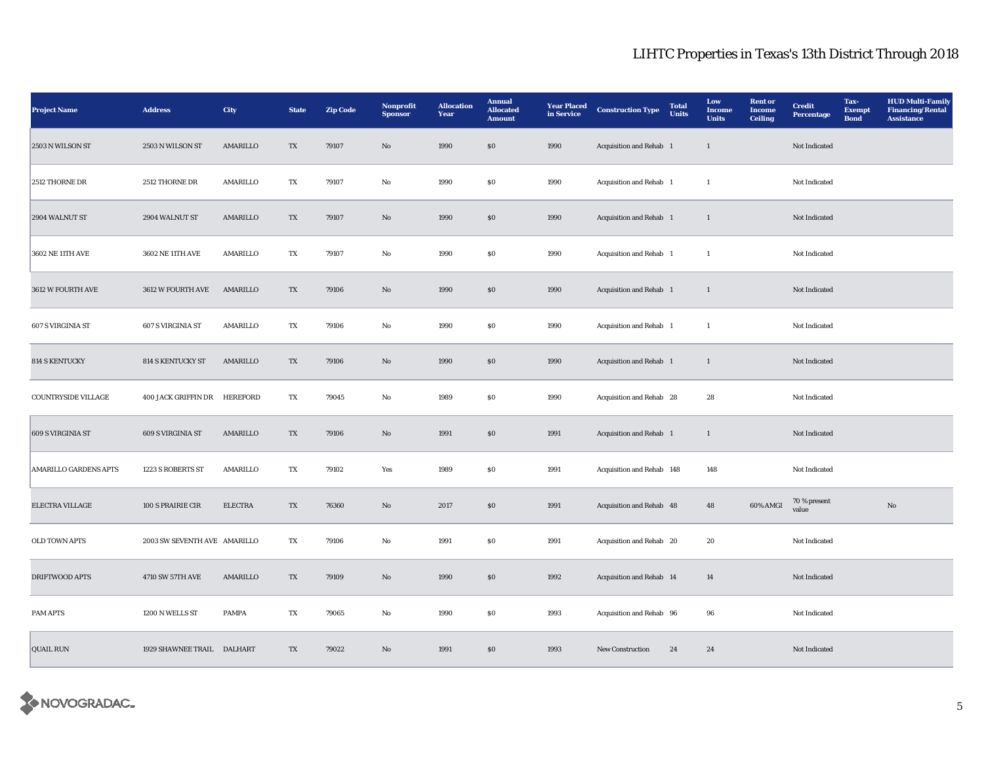| <b>Project Name</b>          | <b>Address</b>               | City           | <b>State</b> | <b>Zip Code</b> | Nonprofit<br><b>Sponsor</b> | <b>Allocation</b><br>Year | <b>Annual</b><br><b>Allocated</b><br><b>Amount</b> | <b>Year Placed</b><br>in Service | <b>Construction Type</b>       | <b>Total</b><br><b>Units</b> | Low<br><b>Income</b><br><b>Units</b> | <b>Rent</b> or<br>Income<br><b>Ceiling</b> | <b>Credit</b><br><b>Percentage</b> | Tax-<br><b>Exempt</b><br><b>Bond</b> | <b>HUD Multi-Family</b><br><b>Financing/Rental</b><br><b>Assistance</b> |
|------------------------------|------------------------------|----------------|--------------|-----------------|-----------------------------|---------------------------|----------------------------------------------------|----------------------------------|--------------------------------|------------------------------|--------------------------------------|--------------------------------------------|------------------------------------|--------------------------------------|-------------------------------------------------------------------------|
| 2503 N WILSON ST             | 2503 N WILSON ST             | AMARILLO       | TX           | 79107           | No                          | 1990                      | \$0\$                                              | 1990                             | Acquisition and Rehab 1        |                              | $\mathbf{1}$                         |                                            | Not Indicated                      |                                      |                                                                         |
| 2512 THORNE DR               | 2512 THORNE DR               | AMARILLO       | TX           | 79107           | $\rm No$                    | 1990                      | S <sub>0</sub>                                     | 1990                             | Acquisition and Rehab 1        |                              | $\mathbf{1}$                         |                                            | Not Indicated                      |                                      |                                                                         |
| 2904 WALNUT ST               | 2904 WALNUT ST               | AMARILLO       | TX           | 79107           | No                          | 1990                      | \$0\$                                              | 1990                             | <b>Acquisition and Rehab</b> 1 |                              | $\mathbf{1}$                         |                                            | Not Indicated                      |                                      |                                                                         |
| 3602 NE 11TH AVE             | 3602 NE 11TH AVE             | AMARILLO       | TX           | 79107           | No                          | 1990                      | S <sub>0</sub>                                     | 1990                             | Acquisition and Rehab 1        |                              | $\mathbf{1}$                         |                                            | Not Indicated                      |                                      |                                                                         |
| 3612 W FOURTH AVE            | 3612 W FOURTH AVE            | AMARILLO       | TX           | 79106           | $\mathbf{No}$               | 1990                      | \$0\$                                              | 1990                             | Acquisition and Rehab 1        |                              | $\mathbf{1}$                         |                                            | Not Indicated                      |                                      |                                                                         |
| 607 S VIRGINIA ST            | 607 S VIRGINIA ST            | AMARILLO       | TX           | 79106           | No                          | 1990                      | $\boldsymbol{\mathsf{S}}\boldsymbol{\mathsf{0}}$   | 1990                             | Acquisition and Rehab 1        |                              | $\mathbf{1}$                         |                                            | Not Indicated                      |                                      |                                                                         |
| <b>814 S KENTUCKY</b>        | 814 S KENTUCKY ST            | AMARILLO       | TX           | 79106           | No                          | 1990                      | \$0\$                                              | 1990                             | Acquisition and Rehab 1        |                              | $\mathbf{1}$                         |                                            | Not Indicated                      |                                      |                                                                         |
| COUNTRYSIDE VILLAGE          | 400 JACK GRIFFIN DR          | HEREFORD       | TX           | 79045           | No                          | 1989                      | <b>SO</b>                                          | 1990                             | Acquisition and Rehab 28       |                              | 28                                   |                                            | Not Indicated                      |                                      |                                                                         |
| 609 S VIRGINIA ST            | 609 S VIRGINIA ST            | AMARILLO       | TX           | 79106           | No                          | 1991                      | $\boldsymbol{\mathsf{S}}\boldsymbol{\mathsf{0}}$   | 1991                             | Acquisition and Rehab 1        |                              | $\mathbf{1}$                         |                                            | Not Indicated                      |                                      |                                                                         |
| <b>AMARILLO GARDENS APTS</b> | 1223 S ROBERTS ST            | AMARILLO       | TX           | 79102           | Yes                         | 1989                      | \$0                                                | 1991                             | Acquisition and Rehab 148      |                              | 148                                  |                                            | Not Indicated                      |                                      |                                                                         |
| ELECTRA VILLAGE              | 100 S PRAIRIE CIR            | <b>ELECTRA</b> | TX           | 76360           | $\mathbf{N}\mathbf{o}$      | 2017                      | $\boldsymbol{\mathsf{S}}\boldsymbol{\mathsf{0}}$   | 1991                             | Acquisition and Rehab 48       |                              | 48                                   | 60% AMGI                                   | 70 % present<br>value              |                                      | $\rm No$                                                                |
| OLD TOWN APTS                | 2003 SW SEVENTH AVE AMARILLO |                | TX           | 79106           | No                          | 1991                      | S <sub>0</sub>                                     | 1991                             | Acquisition and Rehab 20       |                              | 20                                   |                                            | Not Indicated                      |                                      |                                                                         |
| DRIFTWOOD APTS               | 4710 SW 57TH AVE             | AMARILLO       | TX           | 79109           | No                          | 1990                      | \$0\$                                              | 1992                             | Acquisition and Rehab 14       |                              | 14                                   |                                            | Not Indicated                      |                                      |                                                                         |
| PAM APTS                     | 1200 N WELLS ST              | <b>PAMPA</b>   | TX           | 79065           | No                          | 1990                      | S <sub>0</sub>                                     | 1993                             | Acquisition and Rehab 96       |                              | 96                                   |                                            | Not Indicated                      |                                      |                                                                         |
| <b>QUAIL RUN</b>             | 1929 SHAWNEE TRAIL DALHART   |                | TX           | 79022           | No                          | 1991                      | \$0\$                                              | 1993                             | <b>New Construction</b>        | 24                           | 24                                   |                                            | Not Indicated                      |                                      |                                                                         |

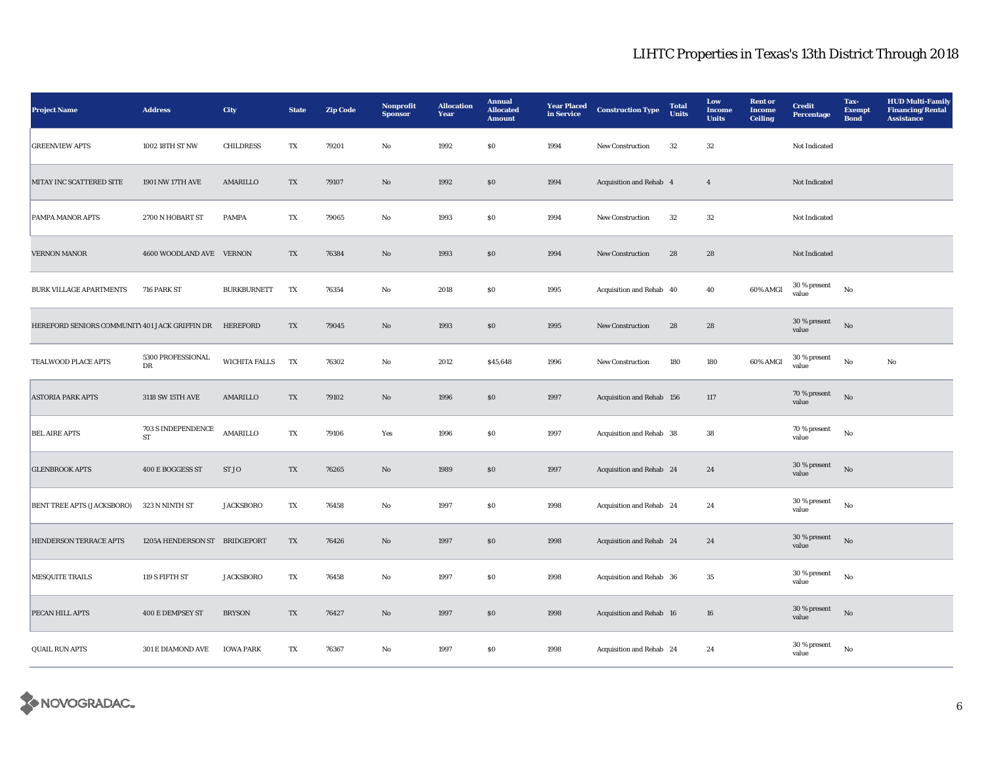| <b>Project Name</b>                            | $\large\bf Address$           | City                 | <b>State</b> | <b>Zip Code</b> | Nonprofit<br><b>Sponsor</b> | <b>Allocation</b><br>Year | <b>Annual</b><br><b>Allocated</b><br><b>Amount</b> | <b>Year Placed</b><br>in Service | <b>Construction Type</b>  | <b>Total</b><br><b>Units</b> | Low<br>Income<br><b>Units</b> | <b>Rent or</b><br><b>Income</b><br><b>Ceiling</b> | <b>Credit</b><br>Percentage | Tax-<br><b>Exempt</b><br><b>Bond</b> | <b>HUD Multi-Family</b><br><b>Financing/Rental</b><br><b>Assistance</b> |
|------------------------------------------------|-------------------------------|----------------------|--------------|-----------------|-----------------------------|---------------------------|----------------------------------------------------|----------------------------------|---------------------------|------------------------------|-------------------------------|---------------------------------------------------|-----------------------------|--------------------------------------|-------------------------------------------------------------------------|
| <b>GREENVIEW APTS</b>                          | 1002 18TH ST NW               | <b>CHILDRESS</b>     | TX           | 79201           | $\rm No$                    | 1992                      | $\$0$                                              | 1994                             | New Construction          | $32\,$                       | $32\,$                        |                                                   | Not Indicated               |                                      |                                                                         |
| MITAY INC SCATTERED SITE                       | 1901 NW 17TH AVE              | AMARILLO             | TX           | 79107           | $\rm No$                    | 1992                      | $\$0$                                              | 1994                             | Acquisition and Rehab 4   |                              | $\overline{4}$                |                                                   | Not Indicated               |                                      |                                                                         |
| PAMPA MANOR APTS                               | 2700 N HOBART ST              | <b>PAMPA</b>         | TX           | 79065           | No                          | 1993                      | \$0                                                | 1994                             | <b>New Construction</b>   | 32                           | 32                            |                                                   | Not Indicated               |                                      |                                                                         |
| <b>VERNON MANOR</b>                            | 4600 WOODLAND AVE VERNON      |                      | TX           | 76384           | $\rm No$                    | 1993                      | $\$0$                                              | 1994                             | New Construction          | 28                           | ${\bf 28}$                    |                                                   | Not Indicated               |                                      |                                                                         |
| <b>BURK VILLAGE APARTMENTS</b>                 | 716 PARK ST                   | <b>BURKBURNETT</b>   | TX           | 76354           | $_{\rm No}$                 | 2018                      | $\$0$                                              | 1995                             | Acquisition and Rehab 40  |                              | 40                            | 60% AMGI                                          | 30 % present<br>value       | No                                   |                                                                         |
| HEREFORD SENIORS COMMUNITY 401 JACK GRIFFIN DR |                               | HEREFORD             | TX           | 79045           | $\rm No$                    | 1993                      | $\$0$                                              | 1995                             | <b>New Construction</b>   | 28                           | 28                            |                                                   | 30 % present<br>value       | No                                   |                                                                         |
| TEALWOOD PLACE APTS                            | 5300 PROFESSIONAL<br>DR       | <b>WICHITA FALLS</b> | TX           | 76302           | No                          | 2012                      | \$45,648                                           | 1996                             | <b>New Construction</b>   | 180                          | 180                           | 60% AMGI                                          | 30 % present<br>value       | No                                   | No                                                                      |
| <b>ASTORIA PARK APTS</b>                       | 3118 SW 15TH AVE              | AMARILLO             | TX           | 79102           | No                          | 1996                      | \$0                                                | 1997                             | Acquisition and Rehab 156 |                              | 117                           |                                                   | 70 % present<br>value       | $\rm No$                             |                                                                         |
| <b>BEL AIRE APTS</b>                           | 703 S INDEPENDENCE<br>ST      | AMARILLO             | TX           | 79106           | Yes                         | 1996                      | $\$0$                                              | 1997                             | Acquisition and Rehab 38  |                              | ${\bf 38}$                    |                                                   | 70 % present<br>value       | $_{\rm No}$                          |                                                                         |
| <b>GLENBROOK APTS</b>                          | 400 E BOGGESS ST              | ST JO                | TX           | 76265           | No                          | 1989                      | $\$0$                                              | 1997                             | Acquisition and Rehab 24  |                              | 24                            |                                                   | 30 % present<br>value       | $_{\rm No}$                          |                                                                         |
| BENT TREE APTS (JACKSBORO)                     | 323 N NINTH ST                | <b>JACKSBORO</b>     | TX           | 76458           | $\rm No$                    | 1997                      | \$0                                                | 1998                             | Acquisition and Rehab 24  |                              | 24                            |                                                   | 30 % present<br>value       | No                                   |                                                                         |
| HENDERSON TERRACE APTS                         | 1205A HENDERSON ST BRIDGEPORT |                      | TX           | 76426           | No                          | 1997                      | \$0                                                | 1998                             | Acquisition and Rehab 24  |                              | 24                            |                                                   | 30 % present<br>value       | $_{\rm No}$                          |                                                                         |
| <b>MESQUITE TRAILS</b>                         | 119 S FIFTH ST                | <b>JACKSBORO</b>     | TX           | 76458           | No                          | 1997                      | $\$0$                                              | 1998                             | Acquisition and Rehab 36  |                              | 35                            |                                                   | 30 % present<br>value       | $_{\rm No}$                          |                                                                         |
| PECAN HILL APTS                                | 400 E DEMPSEY ST              | <b>BRYSON</b>        | TX           | 76427           | No                          | 1997                      | $\$0$                                              | 1998                             | Acquisition and Rehab 16  |                              | ${\bf 16}$                    |                                                   | 30 % present<br>value       | $_{\rm No}$                          |                                                                         |
| <b>QUAIL RUN APTS</b>                          | 301 E DIAMOND AVE             | <b>IOWA PARK</b>     | TX           | 76367           | No                          | 1997                      | $\$0$                                              | 1998                             | Acquisition and Rehab 24  |                              | 24                            |                                                   | 30 % present<br>value       | $_{\rm No}$                          |                                                                         |